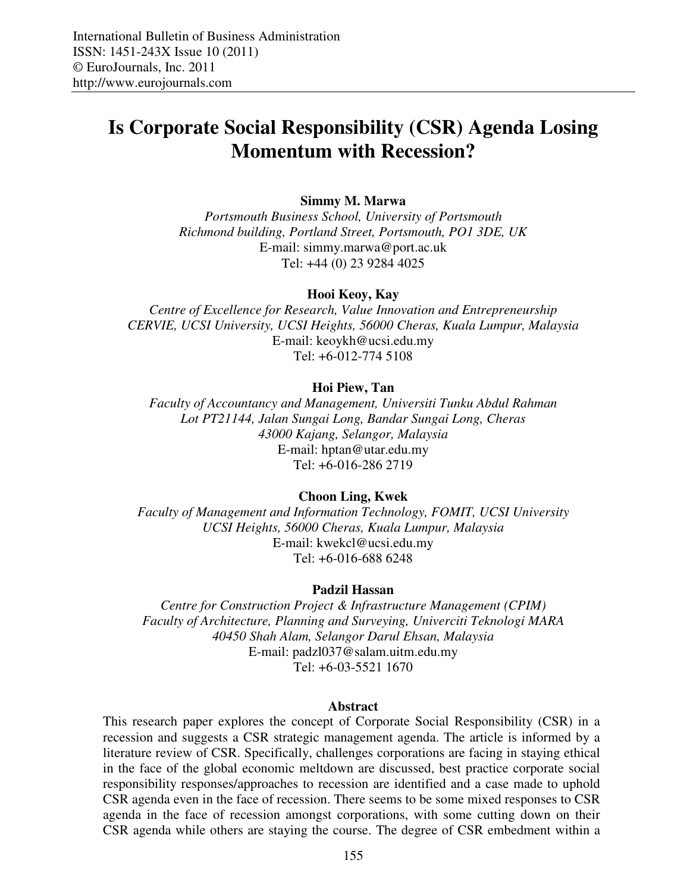# **Is Corporate Social Responsibility (CSR) Agenda Losing Momentum with Recession?**

**Simmy M. Marwa** 

*Portsmouth Business School, University of Portsmouth Richmond building, Portland Street, Portsmouth, PO1 3DE, UK*  E-mail: simmy.marwa@port.ac.uk Tel: +44 (0) 23 9284 4025

#### **Hooi Keoy, Kay**

*Centre of Excellence for Research, Value Innovation and Entrepreneurship CERVIE, UCSI University, UCSI Heights, 56000 Cheras, Kuala Lumpur, Malaysia*  E-mail: keoykh@ucsi.edu.my Tel: +6-012-774 5108

### **Hoi Piew, Tan**

*Faculty of Accountancy and Management, Universiti Tunku Abdul Rahman Lot PT21144, Jalan Sungai Long, Bandar Sungai Long, Cheras 43000 Kajang, Selangor, Malaysia*  E-mail: hptan@utar.edu.my Tel: +6-016-286 2719

### **Choon Ling, Kwek**

*Faculty of Management and Information Technology, FOMIT, UCSI University UCSI Heights, 56000 Cheras, Kuala Lumpur, Malaysia*  E-mail: kwekcl@ucsi.edu.my Tel: +6-016-688 6248

### **Padzil Hassan**

*Centre for Construction Project & Infrastructure Management (CPIM) Faculty of Architecture, Planning and Surveying, Univerciti Teknologi MARA 40450 Shah Alam, Selangor Darul Ehsan, Malaysia*  E-mail: padzl037@salam.uitm.edu.my Tel: +6-03-5521 1670

#### **Abstract**

This research paper explores the concept of Corporate Social Responsibility (CSR) in a recession and suggests a CSR strategic management agenda. The article is informed by a literature review of CSR. Specifically, challenges corporations are facing in staying ethical in the face of the global economic meltdown are discussed, best practice corporate social responsibility responses/approaches to recession are identified and a case made to uphold CSR agenda even in the face of recession. There seems to be some mixed responses to CSR agenda in the face of recession amongst corporations, with some cutting down on their CSR agenda while others are staying the course. The degree of CSR embedment within a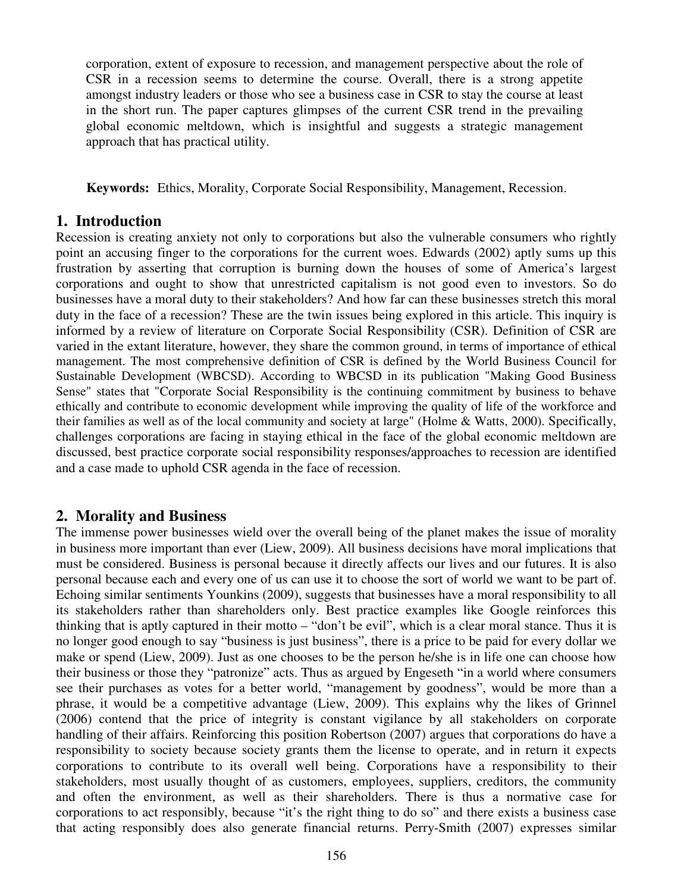corporation, extent of exposure to recession, and management perspective about the role of CSR in a recession seems to determine the course. Overall, there is a strong appetite amongst industry leaders or those who see a business case in CSR to stay the course at least in the short run. The paper captures glimpses of the current CSR trend in the prevailing global economic meltdown, which is insightful and suggests a strategic management approach that has practical utility.

**Keywords:** Ethics, Morality, Corporate Social Responsibility, Management, Recession.

# **1. Introduction**

Recession is creating anxiety not only to corporations but also the vulnerable consumers who rightly point an accusing finger to the corporations for the current woes. Edwards (2002) aptly sums up this frustration by asserting that corruption is burning down the houses of some of America's largest corporations and ought to show that unrestricted capitalism is not good even to investors. So do businesses have a moral duty to their stakeholders? And how far can these businesses stretch this moral duty in the face of a recession? These are the twin issues being explored in this article. This inquiry is informed by a review of literature on Corporate Social Responsibility (CSR). Definition of CSR are varied in the extant literature, however, they share the common ground, in terms of importance of ethical management. The most comprehensive definition of CSR is defined by the World Business Council for Sustainable Development (WBCSD). According to WBCSD in its publication "Making Good Business Sense" states that "Corporate Social Responsibility is the continuing commitment by business to behave ethically and contribute to economic development while improving the quality of life of the workforce and their families as well as of the local community and society at large" (Holme & Watts, 2000). Specifically, challenges corporations are facing in staying ethical in the face of the global economic meltdown are discussed, best practice corporate social responsibility responses/approaches to recession are identified and a case made to uphold CSR agenda in the face of recession.

# **2. Morality and Business**

The immense power businesses wield over the overall being of the planet makes the issue of morality in business more important than ever (Liew, 2009). All business decisions have moral implications that must be considered. Business is personal because it directly affects our lives and our futures. It is also personal because each and every one of us can use it to choose the sort of world we want to be part of. Echoing similar sentiments Younkins (2009), suggests that businesses have a moral responsibility to all its stakeholders rather than shareholders only. Best practice examples like Google reinforces this thinking that is aptly captured in their motto – "don't be evil", which is a clear moral stance. Thus it is no longer good enough to say "business is just business", there is a price to be paid for every dollar we make or spend (Liew, 2009). Just as one chooses to be the person he/she is in life one can choose how their business or those they "patronize" acts. Thus as argued by Engeseth "in a world where consumers see their purchases as votes for a better world, "management by goodness", would be more than a phrase, it would be a competitive advantage (Liew, 2009). This explains why the likes of Grinnel (2006) contend that the price of integrity is constant vigilance by all stakeholders on corporate handling of their affairs. Reinforcing this position Robertson (2007) argues that corporations do have a responsibility to society because society grants them the license to operate, and in return it expects corporations to contribute to its overall well being. Corporations have a responsibility to their stakeholders, most usually thought of as customers, employees, suppliers, creditors, the community and often the environment, as well as their shareholders. There is thus a normative case for corporations to act responsibly, because "it's the right thing to do so" and there exists a business case that acting responsibly does also generate financial returns. Perry-Smith (2007) expresses similar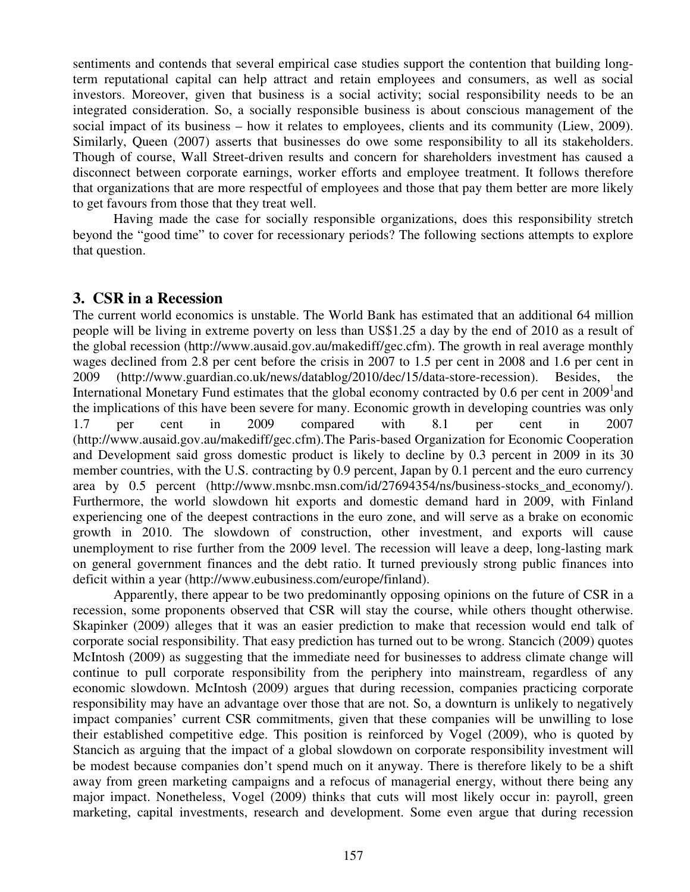sentiments and contends that several empirical case studies support the contention that building longterm reputational capital can help attract and retain employees and consumers, as well as social investors. Moreover, given that business is a social activity; social responsibility needs to be an integrated consideration. So, a socially responsible business is about conscious management of the social impact of its business – how it relates to employees, clients and its community (Liew, 2009). Similarly, Queen (2007) asserts that businesses do owe some responsibility to all its stakeholders. Though of course, Wall Street-driven results and concern for shareholders investment has caused a disconnect between corporate earnings, worker efforts and employee treatment. It follows therefore that organizations that are more respectful of employees and those that pay them better are more likely to get favours from those that they treat well.

Having made the case for socially responsible organizations, does this responsibility stretch beyond the "good time" to cover for recessionary periods? The following sections attempts to explore that question.

# **3. CSR in a Recession**

The current world economics is unstable. The World Bank has estimated that an additional 64 million people will be living in extreme poverty on less than US\$1.25 a day by the end of 2010 as a result of the global recession (http://www.ausaid.gov.au/makediff/gec.cfm). The growth in real average monthly wages declined from 2.8 per cent before the crisis in 2007 to 1.5 per cent in 2008 and 1.6 per cent in 2009 (http://www.guardian.co.uk/news/datablog/2010/dec/15/data-store-recession). Besides, International Monetary Fund estimates that the global economy contracted by 0.6 per cent in  $2009<sup>1</sup>$  and the implications of this have been severe for many. Economic growth in developing countries was only 1.7 per cent in 2009 compared with 8.1 per cent in 2007 (http://www.ausaid.gov.au/makediff/gec.cfm).The Paris-based Organization for Economic Cooperation and Development said gross domestic product is likely to decline by 0.3 percent in 2009 in its 30 member countries, with the U.S. contracting by 0.9 percent, Japan by 0.1 percent and the euro currency area by 0.5 percent (http://www.msnbc.msn.com/id/27694354/ns/business-stocks\_and\_economy/). Furthermore, the world slowdown hit exports and domestic demand hard in 2009, with Finland experiencing one of the deepest contractions in the euro zone, and will serve as a brake on economic growth in 2010. The slowdown of construction, other investment, and exports will cause unemployment to rise further from the 2009 level. The recession will leave a deep, long-lasting mark on general government finances and the debt ratio. It turned previously strong public finances into deficit within a year (http://www.eubusiness.com/europe/finland).

Apparently, there appear to be two predominantly opposing opinions on the future of CSR in a recession, some proponents observed that CSR will stay the course, while others thought otherwise. Skapinker (2009) alleges that it was an easier prediction to make that recession would end talk of corporate social responsibility. That easy prediction has turned out to be wrong. Stancich (2009) quotes McIntosh (2009) as suggesting that the immediate need for businesses to address climate change will continue to pull corporate responsibility from the periphery into mainstream, regardless of any economic slowdown. McIntosh (2009) argues that during recession, companies practicing corporate responsibility may have an advantage over those that are not. So, a downturn is unlikely to negatively impact companies' current CSR commitments, given that these companies will be unwilling to lose their established competitive edge. This position is reinforced by Vogel (2009), who is quoted by Stancich as arguing that the impact of a global slowdown on corporate responsibility investment will be modest because companies don't spend much on it anyway. There is therefore likely to be a shift away from green marketing campaigns and a refocus of managerial energy, without there being any major impact. Nonetheless, Vogel (2009) thinks that cuts will most likely occur in: payroll, green marketing, capital investments, research and development. Some even argue that during recession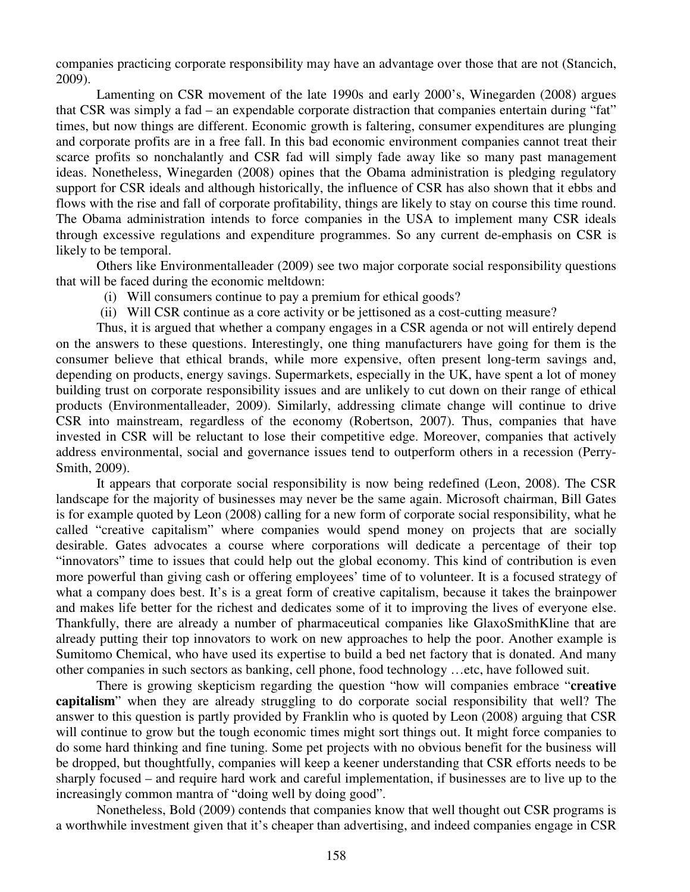companies practicing corporate responsibility may have an advantage over those that are not (Stancich, 2009).

Lamenting on CSR movement of the late 1990s and early 2000's, Winegarden (2008) argues that CSR was simply a fad – an expendable corporate distraction that companies entertain during "fat" times, but now things are different. Economic growth is faltering, consumer expenditures are plunging and corporate profits are in a free fall. In this bad economic environment companies cannot treat their scarce profits so nonchalantly and CSR fad will simply fade away like so many past management ideas. Nonetheless, Winegarden (2008) opines that the Obama administration is pledging regulatory support for CSR ideals and although historically, the influence of CSR has also shown that it ebbs and flows with the rise and fall of corporate profitability, things are likely to stay on course this time round. The Obama administration intends to force companies in the USA to implement many CSR ideals through excessive regulations and expenditure programmes. So any current de-emphasis on CSR is likely to be temporal.

Others like Environmentalleader (2009) see two major corporate social responsibility questions that will be faced during the economic meltdown:

- (i) Will consumers continue to pay a premium for ethical goods?
- (ii) Will CSR continue as a core activity or be jettisoned as a cost-cutting measure?

Thus, it is argued that whether a company engages in a CSR agenda or not will entirely depend on the answers to these questions. Interestingly, one thing manufacturers have going for them is the consumer believe that ethical brands, while more expensive, often present long-term savings and, depending on products, energy savings. Supermarkets, especially in the UK, have spent a lot of money building trust on corporate responsibility issues and are unlikely to cut down on their range of ethical products (Environmentalleader, 2009). Similarly, addressing climate change will continue to drive CSR into mainstream, regardless of the economy (Robertson, 2007). Thus, companies that have invested in CSR will be reluctant to lose their competitive edge. Moreover, companies that actively address environmental, social and governance issues tend to outperform others in a recession (Perry-Smith, 2009).

It appears that corporate social responsibility is now being redefined (Leon, 2008). The CSR landscape for the majority of businesses may never be the same again. Microsoft chairman, Bill Gates is for example quoted by Leon (2008) calling for a new form of corporate social responsibility, what he called "creative capitalism" where companies would spend money on projects that are socially desirable. Gates advocates a course where corporations will dedicate a percentage of their top "innovators" time to issues that could help out the global economy. This kind of contribution is even more powerful than giving cash or offering employees' time of to volunteer. It is a focused strategy of what a company does best. It's is a great form of creative capitalism, because it takes the brainpower and makes life better for the richest and dedicates some of it to improving the lives of everyone else. Thankfully, there are already a number of pharmaceutical companies like GlaxoSmithKline that are already putting their top innovators to work on new approaches to help the poor. Another example is Sumitomo Chemical, who have used its expertise to build a bed net factory that is donated. And many other companies in such sectors as banking, cell phone, food technology …etc, have followed suit.

There is growing skepticism regarding the question "how will companies embrace "**creative capitalism**" when they are already struggling to do corporate social responsibility that well? The answer to this question is partly provided by Franklin who is quoted by Leon (2008) arguing that CSR will continue to grow but the tough economic times might sort things out. It might force companies to do some hard thinking and fine tuning. Some pet projects with no obvious benefit for the business will be dropped, but thoughtfully, companies will keep a keener understanding that CSR efforts needs to be sharply focused – and require hard work and careful implementation, if businesses are to live up to the increasingly common mantra of "doing well by doing good".

Nonetheless, Bold (2009) contends that companies know that well thought out CSR programs is a worthwhile investment given that it's cheaper than advertising, and indeed companies engage in CSR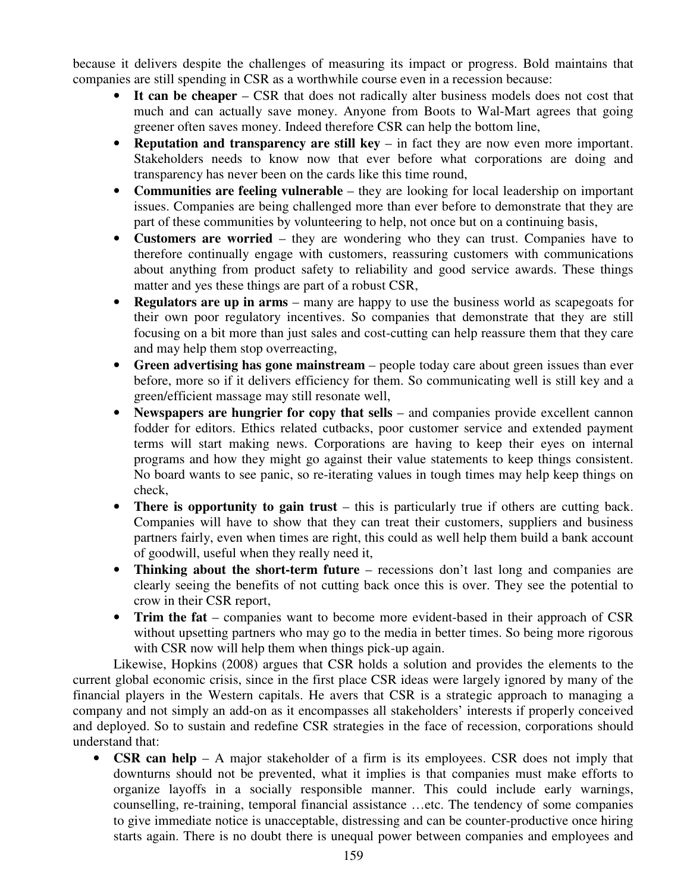because it delivers despite the challenges of measuring its impact or progress. Bold maintains that companies are still spending in CSR as a worthwhile course even in a recession because:

- **It can be cheaper** CSR that does not radically alter business models does not cost that much and can actually save money. Anyone from Boots to Wal-Mart agrees that going greener often saves money. Indeed therefore CSR can help the bottom line,
- **Reputation and transparency are still key** in fact they are now even more important. Stakeholders needs to know now that ever before what corporations are doing and transparency has never been on the cards like this time round,
- **Communities are feeling vulnerable** they are looking for local leadership on important issues. Companies are being challenged more than ever before to demonstrate that they are part of these communities by volunteering to help, not once but on a continuing basis,
- **Customers are worried** they are wondering who they can trust. Companies have to therefore continually engage with customers, reassuring customers with communications about anything from product safety to reliability and good service awards. These things matter and yes these things are part of a robust CSR,
- **Regulators are up in arms** many are happy to use the business world as scapegoats for their own poor regulatory incentives. So companies that demonstrate that they are still focusing on a bit more than just sales and cost-cutting can help reassure them that they care and may help them stop overreacting,
- **Green advertising has gone mainstream** people today care about green issues than ever before, more so if it delivers efficiency for them. So communicating well is still key and a green/efficient massage may still resonate well,
- **Newspapers are hungrier for copy that sells** and companies provide excellent cannon fodder for editors. Ethics related cutbacks, poor customer service and extended payment terms will start making news. Corporations are having to keep their eyes on internal programs and how they might go against their value statements to keep things consistent. No board wants to see panic, so re-iterating values in tough times may help keep things on check,
- **There is opportunity to gain trust** this is particularly true if others are cutting back. Companies will have to show that they can treat their customers, suppliers and business partners fairly, even when times are right, this could as well help them build a bank account of goodwill, useful when they really need it,
- **Thinking about the short-term future** recessions don't last long and companies are clearly seeing the benefits of not cutting back once this is over. They see the potential to crow in their CSR report,
- **Trim the fat** companies want to become more evident-based in their approach of CSR without upsetting partners who may go to the media in better times. So being more rigorous with CSR now will help them when things pick-up again.

Likewise, Hopkins (2008) argues that CSR holds a solution and provides the elements to the current global economic crisis, since in the first place CSR ideas were largely ignored by many of the financial players in the Western capitals. He avers that CSR is a strategic approach to managing a company and not simply an add-on as it encompasses all stakeholders' interests if properly conceived and deployed. So to sustain and redefine CSR strategies in the face of recession, corporations should understand that:

• **CSR can help** – A major stakeholder of a firm is its employees. CSR does not imply that downturns should not be prevented, what it implies is that companies must make efforts to organize layoffs in a socially responsible manner. This could include early warnings, counselling, re-training, temporal financial assistance …etc. The tendency of some companies to give immediate notice is unacceptable, distressing and can be counter-productive once hiring starts again. There is no doubt there is unequal power between companies and employees and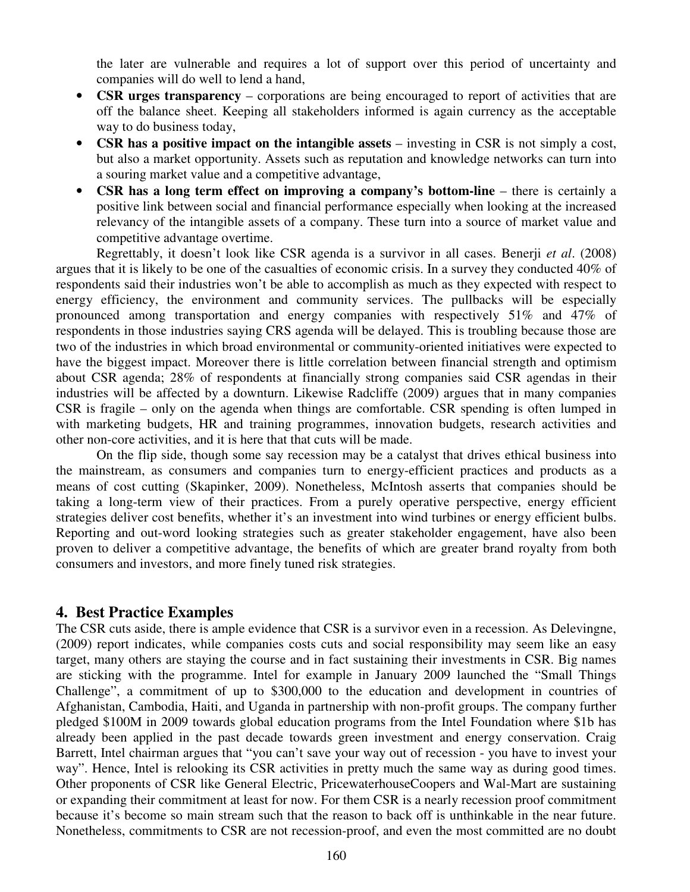the later are vulnerable and requires a lot of support over this period of uncertainty and companies will do well to lend a hand,

- **CSR urges transparency** corporations are being encouraged to report of activities that are off the balance sheet. Keeping all stakeholders informed is again currency as the acceptable way to do business today,
- **CSR has a positive impact on the intangible assets** investing in CSR is not simply a cost, but also a market opportunity. Assets such as reputation and knowledge networks can turn into a souring market value and a competitive advantage,
- **CSR has a long term effect on improving a company's bottom-line** there is certainly a positive link between social and financial performance especially when looking at the increased relevancy of the intangible assets of a company. These turn into a source of market value and competitive advantage overtime.

Regrettably, it doesn't look like CSR agenda is a survivor in all cases. Benerji *et al*. (2008) argues that it is likely to be one of the casualties of economic crisis. In a survey they conducted 40% of respondents said their industries won't be able to accomplish as much as they expected with respect to energy efficiency, the environment and community services. The pullbacks will be especially pronounced among transportation and energy companies with respectively 51% and 47% of respondents in those industries saying CRS agenda will be delayed. This is troubling because those are two of the industries in which broad environmental or community-oriented initiatives were expected to have the biggest impact. Moreover there is little correlation between financial strength and optimism about CSR agenda; 28% of respondents at financially strong companies said CSR agendas in their industries will be affected by a downturn. Likewise Radcliffe (2009) argues that in many companies CSR is fragile – only on the agenda when things are comfortable. CSR spending is often lumped in with marketing budgets, HR and training programmes, innovation budgets, research activities and other non-core activities, and it is here that that cuts will be made.

On the flip side, though some say recession may be a catalyst that drives ethical business into the mainstream, as consumers and companies turn to energy-efficient practices and products as a means of cost cutting (Skapinker, 2009). Nonetheless, McIntosh asserts that companies should be taking a long-term view of their practices. From a purely operative perspective, energy efficient strategies deliver cost benefits, whether it's an investment into wind turbines or energy efficient bulbs. Reporting and out-word looking strategies such as greater stakeholder engagement, have also been proven to deliver a competitive advantage, the benefits of which are greater brand royalty from both consumers and investors, and more finely tuned risk strategies.

### **4. Best Practice Examples**

The CSR cuts aside, there is ample evidence that CSR is a survivor even in a recession. As Delevingne, (2009) report indicates, while companies costs cuts and social responsibility may seem like an easy target, many others are staying the course and in fact sustaining their investments in CSR. Big names are sticking with the programme. Intel for example in January 2009 launched the "Small Things Challenge", a commitment of up to \$300,000 to the education and development in countries of Afghanistan, Cambodia, Haiti, and Uganda in partnership with non-profit groups. The company further pledged \$100M in 2009 towards global education programs from the Intel Foundation where \$1b has already been applied in the past decade towards green investment and energy conservation. Craig Barrett, Intel chairman argues that "you can't save your way out of recession - you have to invest your way". Hence, Intel is relooking its CSR activities in pretty much the same way as during good times. Other proponents of CSR like General Electric, PricewaterhouseCoopers and Wal-Mart are sustaining or expanding their commitment at least for now. For them CSR is a nearly recession proof commitment because it's become so main stream such that the reason to back off is unthinkable in the near future. Nonetheless, commitments to CSR are not recession-proof, and even the most committed are no doubt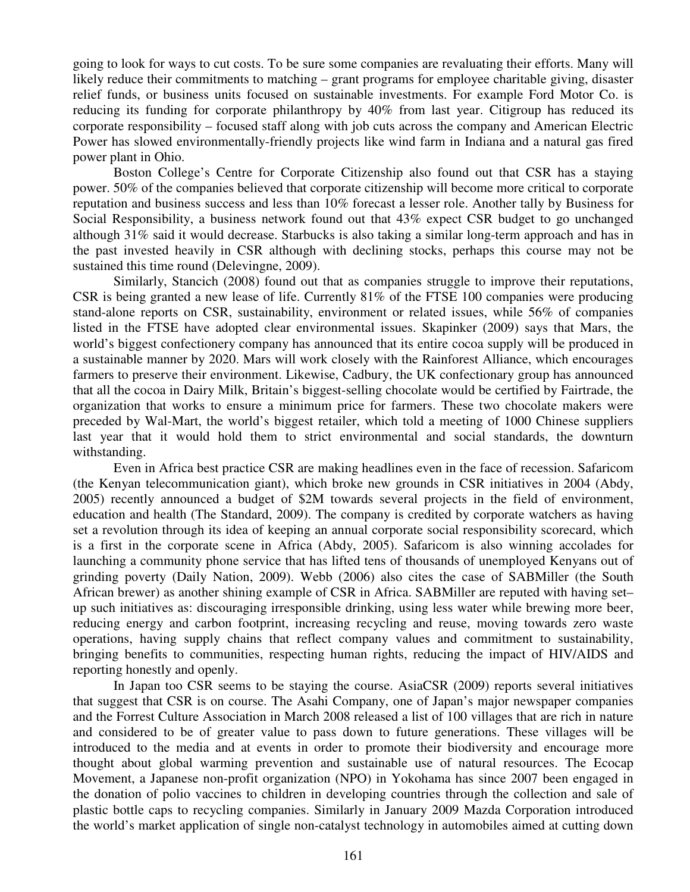going to look for ways to cut costs. To be sure some companies are revaluating their efforts. Many will likely reduce their commitments to matching – grant programs for employee charitable giving, disaster relief funds, or business units focused on sustainable investments. For example Ford Motor Co. is reducing its funding for corporate philanthropy by 40% from last year. Citigroup has reduced its corporate responsibility – focused staff along with job cuts across the company and American Electric Power has slowed environmentally-friendly projects like wind farm in Indiana and a natural gas fired power plant in Ohio.

Boston College's Centre for Corporate Citizenship also found out that CSR has a staying power. 50% of the companies believed that corporate citizenship will become more critical to corporate reputation and business success and less than 10% forecast a lesser role. Another tally by Business for Social Responsibility, a business network found out that 43% expect CSR budget to go unchanged although 31% said it would decrease. Starbucks is also taking a similar long-term approach and has in the past invested heavily in CSR although with declining stocks, perhaps this course may not be sustained this time round (Delevingne, 2009).

Similarly, Stancich (2008) found out that as companies struggle to improve their reputations, CSR is being granted a new lease of life. Currently 81% of the FTSE 100 companies were producing stand-alone reports on CSR, sustainability, environment or related issues, while 56% of companies listed in the FTSE have adopted clear environmental issues. Skapinker (2009) says that Mars, the world's biggest confectionery company has announced that its entire cocoa supply will be produced in a sustainable manner by 2020. Mars will work closely with the Rainforest Alliance, which encourages farmers to preserve their environment. Likewise, Cadbury, the UK confectionary group has announced that all the cocoa in Dairy Milk, Britain's biggest-selling chocolate would be certified by Fairtrade, the organization that works to ensure a minimum price for farmers. These two chocolate makers were preceded by Wal-Mart, the world's biggest retailer, which told a meeting of 1000 Chinese suppliers last year that it would hold them to strict environmental and social standards, the downturn withstanding.

Even in Africa best practice CSR are making headlines even in the face of recession. Safaricom (the Kenyan telecommunication giant), which broke new grounds in CSR initiatives in 2004 (Abdy, 2005) recently announced a budget of \$2M towards several projects in the field of environment, education and health (The Standard, 2009). The company is credited by corporate watchers as having set a revolution through its idea of keeping an annual corporate social responsibility scorecard, which is a first in the corporate scene in Africa (Abdy, 2005). Safaricom is also winning accolades for launching a community phone service that has lifted tens of thousands of unemployed Kenyans out of grinding poverty (Daily Nation, 2009). Webb (2006) also cites the case of SABMiller (the South African brewer) as another shining example of CSR in Africa. SABMiller are reputed with having set– up such initiatives as: discouraging irresponsible drinking, using less water while brewing more beer, reducing energy and carbon footprint, increasing recycling and reuse, moving towards zero waste operations, having supply chains that reflect company values and commitment to sustainability, bringing benefits to communities, respecting human rights, reducing the impact of HIV/AIDS and reporting honestly and openly.

In Japan too CSR seems to be staying the course. AsiaCSR (2009) reports several initiatives that suggest that CSR is on course. The Asahi Company, one of Japan's major newspaper companies and the Forrest Culture Association in March 2008 released a list of 100 villages that are rich in nature and considered to be of greater value to pass down to future generations. These villages will be introduced to the media and at events in order to promote their biodiversity and encourage more thought about global warming prevention and sustainable use of natural resources. The Ecocap Movement, a Japanese non-profit organization (NPO) in Yokohama has since 2007 been engaged in the donation of polio vaccines to children in developing countries through the collection and sale of plastic bottle caps to recycling companies. Similarly in January 2009 Mazda Corporation introduced the world's market application of single non-catalyst technology in automobiles aimed at cutting down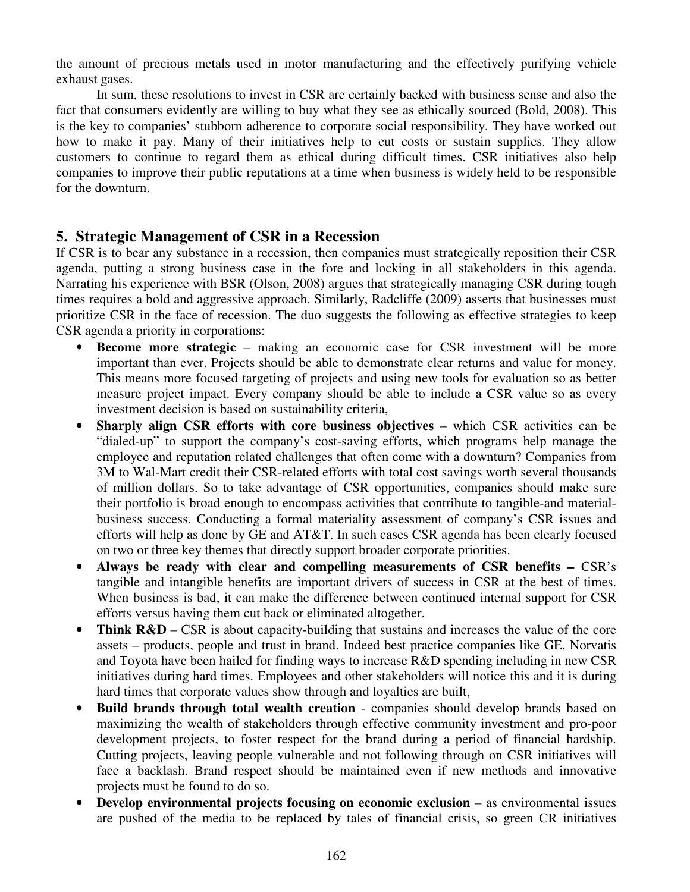the amount of precious metals used in motor manufacturing and the effectively purifying vehicle exhaust gases.

In sum, these resolutions to invest in CSR are certainly backed with business sense and also the fact that consumers evidently are willing to buy what they see as ethically sourced (Bold, 2008). This is the key to companies' stubborn adherence to corporate social responsibility. They have worked out how to make it pay. Many of their initiatives help to cut costs or sustain supplies. They allow customers to continue to regard them as ethical during difficult times. CSR initiatives also help companies to improve their public reputations at a time when business is widely held to be responsible for the downturn.

# **5. Strategic Management of CSR in a Recession**

If CSR is to bear any substance in a recession, then companies must strategically reposition their CSR agenda, putting a strong business case in the fore and locking in all stakeholders in this agenda. Narrating his experience with BSR (Olson, 2008) argues that strategically managing CSR during tough times requires a bold and aggressive approach. Similarly, Radcliffe (2009) asserts that businesses must prioritize CSR in the face of recession. The duo suggests the following as effective strategies to keep CSR agenda a priority in corporations:

- **Become more strategic** making an economic case for CSR investment will be more important than ever. Projects should be able to demonstrate clear returns and value for money. This means more focused targeting of projects and using new tools for evaluation so as better measure project impact. Every company should be able to include a CSR value so as every investment decision is based on sustainability criteria,
- **Sharply align CSR efforts with core business objectives** which CSR activities can be "dialed-up" to support the company's cost-saving efforts, which programs help manage the employee and reputation related challenges that often come with a downturn? Companies from 3M to Wal-Mart credit their CSR-related efforts with total cost savings worth several thousands of million dollars. So to take advantage of CSR opportunities, companies should make sure their portfolio is broad enough to encompass activities that contribute to tangible-and materialbusiness success. Conducting a formal materiality assessment of company's CSR issues and efforts will help as done by GE and AT&T. In such cases CSR agenda has been clearly focused on two or three key themes that directly support broader corporate priorities.
- Always be ready with clear and compelling measurements of CSR benefits CSR's tangible and intangible benefits are important drivers of success in CSR at the best of times. When business is bad, it can make the difference between continued internal support for CSR efforts versus having them cut back or eliminated altogether.
- **Think R&D** CSR is about capacity-building that sustains and increases the value of the core assets – products, people and trust in brand. Indeed best practice companies like GE, Norvatis and Toyota have been hailed for finding ways to increase R&D spending including in new CSR initiatives during hard times. Employees and other stakeholders will notice this and it is during hard times that corporate values show through and loyalties are built,
- **Build brands through total wealth creation**  companies should develop brands based on maximizing the wealth of stakeholders through effective community investment and pro-poor development projects, to foster respect for the brand during a period of financial hardship. Cutting projects, leaving people vulnerable and not following through on CSR initiatives will face a backlash. Brand respect should be maintained even if new methods and innovative projects must be found to do so.
- **Develop environmental projects focusing on economic exclusion** as environmental issues are pushed of the media to be replaced by tales of financial crisis, so green CR initiatives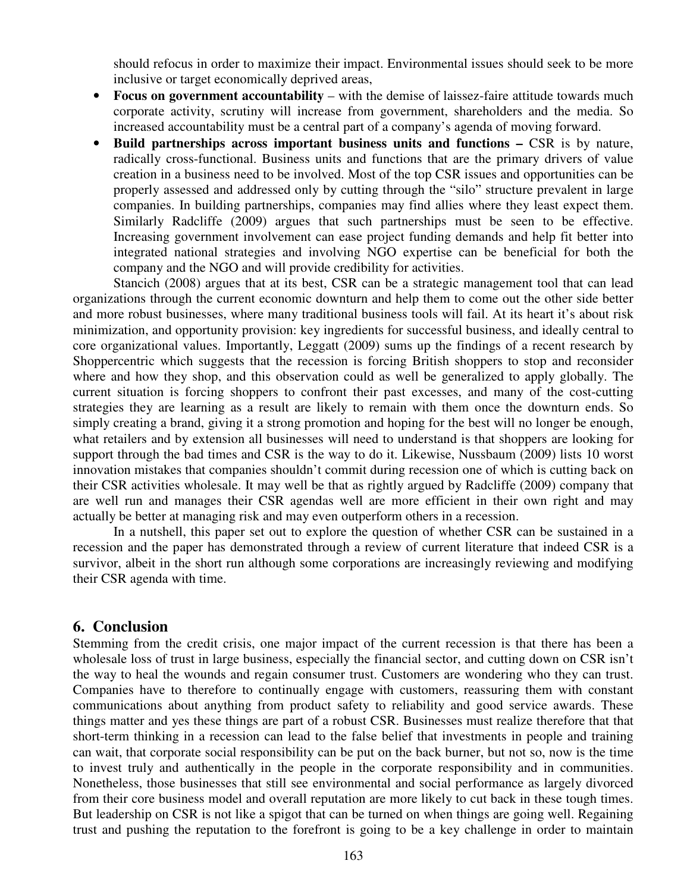should refocus in order to maximize their impact. Environmental issues should seek to be more inclusive or target economically deprived areas,

- **Focus on government accountability** with the demise of laissez-faire attitude towards much corporate activity, scrutiny will increase from government, shareholders and the media. So increased accountability must be a central part of a company's agenda of moving forward.
- **Build partnerships across important business units and functions –** CSR is by nature, radically cross-functional. Business units and functions that are the primary drivers of value creation in a business need to be involved. Most of the top CSR issues and opportunities can be properly assessed and addressed only by cutting through the "silo" structure prevalent in large companies. In building partnerships, companies may find allies where they least expect them. Similarly Radcliffe (2009) argues that such partnerships must be seen to be effective. Increasing government involvement can ease project funding demands and help fit better into integrated national strategies and involving NGO expertise can be beneficial for both the company and the NGO and will provide credibility for activities.

Stancich (2008) argues that at its best, CSR can be a strategic management tool that can lead organizations through the current economic downturn and help them to come out the other side better and more robust businesses, where many traditional business tools will fail. At its heart it's about risk minimization, and opportunity provision: key ingredients for successful business, and ideally central to core organizational values. Importantly, Leggatt (2009) sums up the findings of a recent research by Shoppercentric which suggests that the recession is forcing British shoppers to stop and reconsider where and how they shop, and this observation could as well be generalized to apply globally. The current situation is forcing shoppers to confront their past excesses, and many of the cost-cutting strategies they are learning as a result are likely to remain with them once the downturn ends. So simply creating a brand, giving it a strong promotion and hoping for the best will no longer be enough, what retailers and by extension all businesses will need to understand is that shoppers are looking for support through the bad times and CSR is the way to do it. Likewise, Nussbaum (2009) lists 10 worst innovation mistakes that companies shouldn't commit during recession one of which is cutting back on their CSR activities wholesale. It may well be that as rightly argued by Radcliffe (2009) company that are well run and manages their CSR agendas well are more efficient in their own right and may actually be better at managing risk and may even outperform others in a recession.

In a nutshell, this paper set out to explore the question of whether CSR can be sustained in a recession and the paper has demonstrated through a review of current literature that indeed CSR is a survivor, albeit in the short run although some corporations are increasingly reviewing and modifying their CSR agenda with time.

## **6. Conclusion**

Stemming from the credit crisis, one major impact of the current recession is that there has been a wholesale loss of trust in large business, especially the financial sector, and cutting down on CSR isn't the way to heal the wounds and regain consumer trust. Customers are wondering who they can trust. Companies have to therefore to continually engage with customers, reassuring them with constant communications about anything from product safety to reliability and good service awards. These things matter and yes these things are part of a robust CSR. Businesses must realize therefore that that short-term thinking in a recession can lead to the false belief that investments in people and training can wait, that corporate social responsibility can be put on the back burner, but not so, now is the time to invest truly and authentically in the people in the corporate responsibility and in communities. Nonetheless, those businesses that still see environmental and social performance as largely divorced from their core business model and overall reputation are more likely to cut back in these tough times. But leadership on CSR is not like a spigot that can be turned on when things are going well. Regaining trust and pushing the reputation to the forefront is going to be a key challenge in order to maintain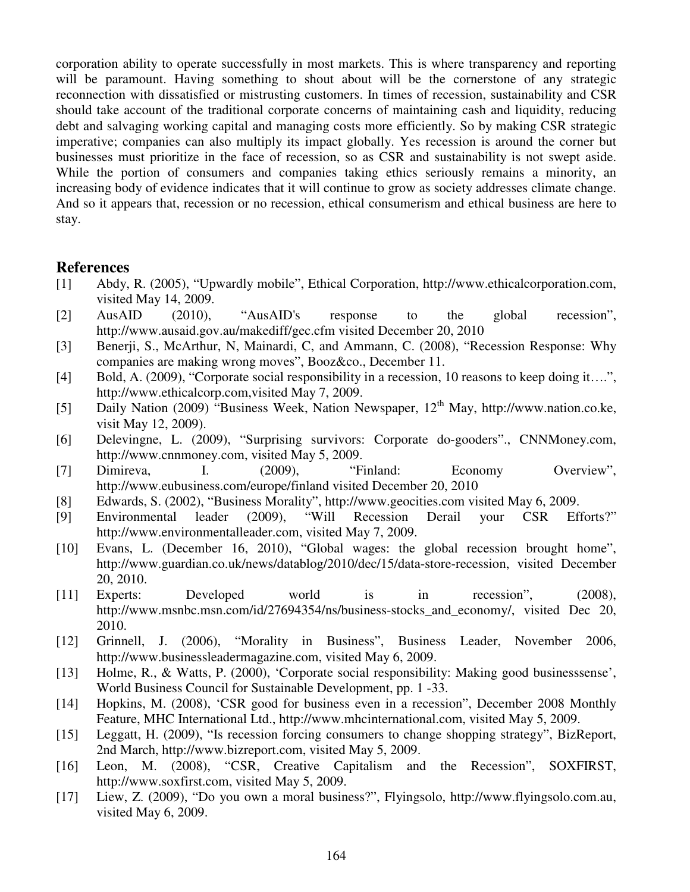corporation ability to operate successfully in most markets. This is where transparency and reporting will be paramount. Having something to shout about will be the cornerstone of any strategic reconnection with dissatisfied or mistrusting customers. In times of recession, sustainability and CSR should take account of the traditional corporate concerns of maintaining cash and liquidity, reducing debt and salvaging working capital and managing costs more efficiently. So by making CSR strategic imperative; companies can also multiply its impact globally. Yes recession is around the corner but businesses must prioritize in the face of recession, so as CSR and sustainability is not swept aside. While the portion of consumers and companies taking ethics seriously remains a minority, an increasing body of evidence indicates that it will continue to grow as society addresses climate change. And so it appears that, recession or no recession, ethical consumerism and ethical business are here to stay.

### **References**

- [1] Abdy, R. (2005), "Upwardly mobile", Ethical Corporation, http://www.ethicalcorporation.com, visited May 14, 2009.
- [2] AusAID (2010), "AusAID's response to the global recession", http://www.ausaid.gov.au/makediff/gec.cfm visited December 20, 2010
- [3] Benerji, S., McArthur, N, Mainardi, C, and Ammann, C. (2008), "Recession Response: Why companies are making wrong moves", Booz&co., December 11.
- [4] Bold, A. (2009), "Corporate social responsibility in a recession, 10 reasons to keep doing it....", http://www.ethicalcorp.com,visited May 7, 2009.
- [5] Daily Nation (2009) "Business Week, Nation Newspaper, 12<sup>th</sup> May, http://www.nation.co.ke, visit May 12, 2009).
- [6] Delevingne, L. (2009), "Surprising survivors: Corporate do-gooders"., CNNMoney.com, http://www.cnnmoney.com, visited May 5, 2009.
- [7] Dimireva, I. (2009), "Finland: Economy Overview", http://www.eubusiness.com/europe/finland visited December 20, 2010
- [8] Edwards, S. (2002), "Business Morality", http://www.geocities.com visited May 6, 2009.
- [9] Environmental leader (2009), "Will Recession Derail your CSR Efforts?" http://www.environmentalleader.com, visited May 7, 2009.
- [10] Evans, L. (December 16, 2010), "Global wages: the global recession brought home", http://www.guardian.co.uk/news/datablog/2010/dec/15/data-store-recession, visited December 20, 2010.
- [11] Experts: Developed world is in recession", (2008), http://www.msnbc.msn.com/id/27694354/ns/business-stocks\_and\_economy/, visited Dec 20, 2010.
- [12] Grinnell, J. (2006), "Morality in Business", Business Leader, November 2006, http://www.businessleadermagazine.com, visited May 6, 2009.
- [13] Holme, R., & Watts, P. (2000), 'Corporate social responsibility: Making good businesssense', World Business Council for Sustainable Development, pp. 1 -33.
- [14] Hopkins, M. (2008), 'CSR good for business even in a recession", December 2008 Monthly Feature, MHC International Ltd., http://www.mhcinternational.com, visited May 5, 2009.
- [15] Leggatt, H. (2009), "Is recession forcing consumers to change shopping strategy", BizReport, 2nd March, http://www.bizreport.com, visited May 5, 2009.
- [16] Leon, M. (2008), "CSR, Creative Capitalism and the Recession", SOXFIRST, http://www.soxfirst.com, visited May 5, 2009.
- [17] Liew, Z. (2009), "Do you own a moral business?", Flyingsolo, http://www.flyingsolo.com.au, visited May 6, 2009.